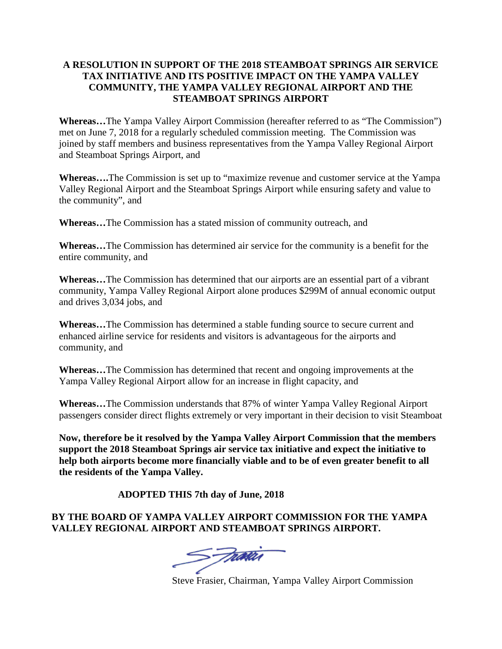## **A RESOLUTION IN SUPPORT OF THE 2018 STEAMBOAT SPRINGS AIR SERVICE TAX INITIATIVE AND ITS POSITIVE IMPACT ON THE YAMPA VALLEY COMMUNITY, THE YAMPA VALLEY REGIONAL AIRPORT AND THE STEAMBOAT SPRINGS AIRPORT**

**Whereas…**The Yampa Valley Airport Commission (hereafter referred to as "The Commission") met on June 7, 2018 for a regularly scheduled commission meeting. The Commission was joined by staff members and business representatives from the Yampa Valley Regional Airport and Steamboat Springs Airport, and

**Whereas….**The Commission is set up to "maximize revenue and customer service at the Yampa Valley Regional Airport and the Steamboat Springs Airport while ensuring safety and value to the community", and

**Whereas…**The Commission has a stated mission of community outreach, and

**Whereas…**The Commission has determined air service for the community is a benefit for the entire community, and

**Whereas…**The Commission has determined that our airports are an essential part of a vibrant community, Yampa Valley Regional Airport alone produces \$299M of annual economic output and drives 3,034 jobs, and

**Whereas…**The Commission has determined a stable funding source to secure current and enhanced airline service for residents and visitors is advantageous for the airports and community, and

**Whereas…**The Commission has determined that recent and ongoing improvements at the Yampa Valley Regional Airport allow for an increase in flight capacity, and

**Whereas…**The Commission understands that 87% of winter Yampa Valley Regional Airport passengers consider direct flights extremely or very important in their decision to visit Steamboat

**Now, therefore be it resolved by the Yampa Valley Airport Commission that the members support the 2018 Steamboat Springs air service tax initiative and expect the initiative to help both airports become more financially viable and to be of even greater benefit to all the residents of the Yampa Valley.**

**ADOPTED THIS 7th day of June, 2018**

## **BY THE BOARD OF YAMPA VALLEY AIRPORT COMMISSION FOR THE YAMPA VALLEY REGIONAL AIRPORT AND STEAMBOAT SPRINGS AIRPORT.**

S Fratis

Steve Frasier, Chairman, Yampa Valley Airport Commission